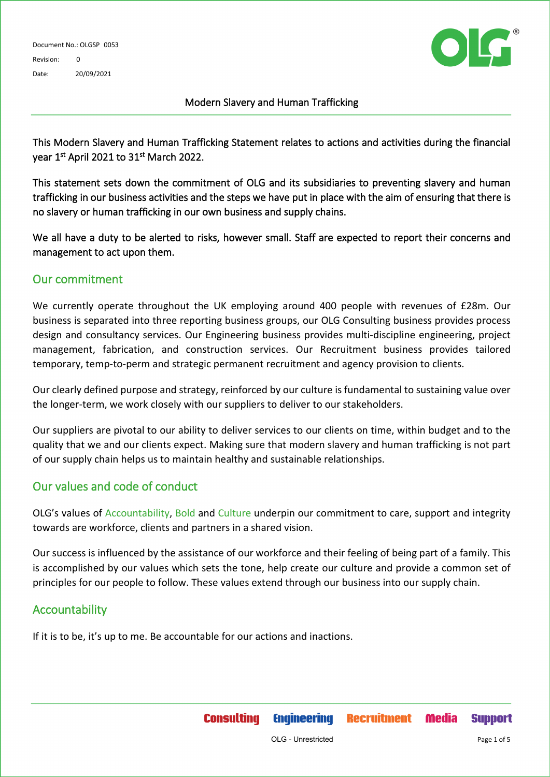

#### Modern Slavery and Human Trafficking

This Modern Slavery and Human Trafficking Statement relates to actions and activities during the financial year 1<sup>st</sup> April 2021 to 31<sup>st</sup> March 2022.

This statement sets down the commitment of OLG and its subsidiaries to preventing slavery and human trafficking in our business activities and the steps we have put in place with the aim of ensuring that there is no slavery or human trafficking in our own business and supply chains.

We all have a duty to be alerted to risks, however small. Staff are expected to report their concerns and management to act upon them.

### Our commitment

We currently operate throughout the UK employing around 400 people with revenues of £28m. Our business is separated into three reporting business groups, our OLG Consulting business provides process design and consultancy services. Our Engineering business provides multi-discipline engineering, project management, fabrication, and construction services. Our Recruitment business provides tailored temporary, temp-to-perm and strategic permanent recruitment and agency provision to clients.

Our clearly defined purpose and strategy, reinforced by our culture is fundamental to sustaining value over the longer-term, we work closely with our suppliers to deliver to our stakeholders.

Our suppliers are pivotal to our ability to deliver services to our clients on time, within budget and to the quality that we and our clients expect. Making sure that modern slavery and human trafficking is not part of our supply chain helps us to maintain healthy and sustainable relationships.

## Our values and code of conduct

OLG's values of Accountability, Bold and Culture underpin our commitment to care, support and integrity towards are workforce, clients and partners in a shared vision.

Our success is influenced by the assistance of our workforce and their feeling of being part of a family. This is accomplished by our values which sets the tone, help create our culture and provide a common set of principles for our people to follow. These values extend through our business into our supply chain.

### Accountability

If it is to be, it's up to me. Be accountable for our actions and inactions.

**Consulting** 

**Engineering** 

**Recruitment** 

**Media** 

**Support**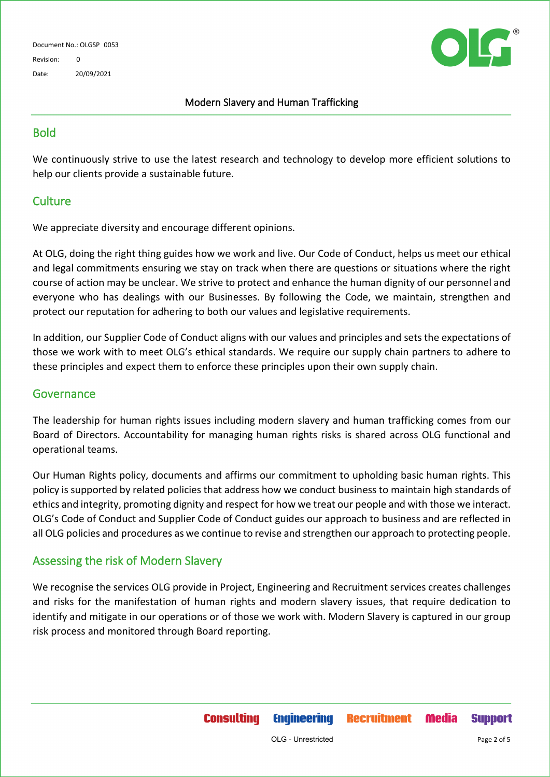Document No.: OLGSP 0053 Revision: 0 Date: 20/09/2021



#### Modern Slavery and Human Trafficking

## **Bold**

We continuously strive to use the latest research and technology to develop more efficient solutions to help our clients provide a sustainable future.

## **Culture**

We appreciate diversity and encourage different opinions.

At OLG, doing the right thing guides how we work and live. Our Code of Conduct, helps us meet our ethical and legal commitments ensuring we stay on track when there are questions or situations where the right course of action may be unclear. We strive to protect and enhance the human dignity of our personnel and everyone who has dealings with our Businesses. By following the Code, we maintain, strengthen and protect our reputation for adhering to both our values and legislative requirements.

In addition, our Supplier Code of Conduct aligns with our values and principles and sets the expectations of those we work with to meet OLG's ethical standards. We require our supply chain partners to adhere to these principles and expect them to enforce these principles upon their own supply chain.

#### Governance

The leadership for human rights issues including modern slavery and human trafficking comes from our Board of Directors. Accountability for managing human rights risks is shared across OLG functional and operational teams.

Our Human Rights policy, documents and affirms our commitment to upholding basic human rights. This policy is supported by related policies that address how we conduct business to maintain high standards of ethics and integrity, promoting dignity and respect for how we treat our people and with those we interact. OLG's Code of Conduct and Supplier Code of Conduct guides our approach to business and are reflected in all OLG policies and procedures as we continue to revise and strengthen our approach to protecting people.

### Assessing the risk of Modern Slavery

We recognise the services OLG provide in Project, Engineering and Recruitment services creates challenges and risks for the manifestation of human rights and modern slavery issues, that require dedication to identify and mitigate in our operations or of those we work with. Modern Slavery is captured in our group risk process and monitored through Board reporting.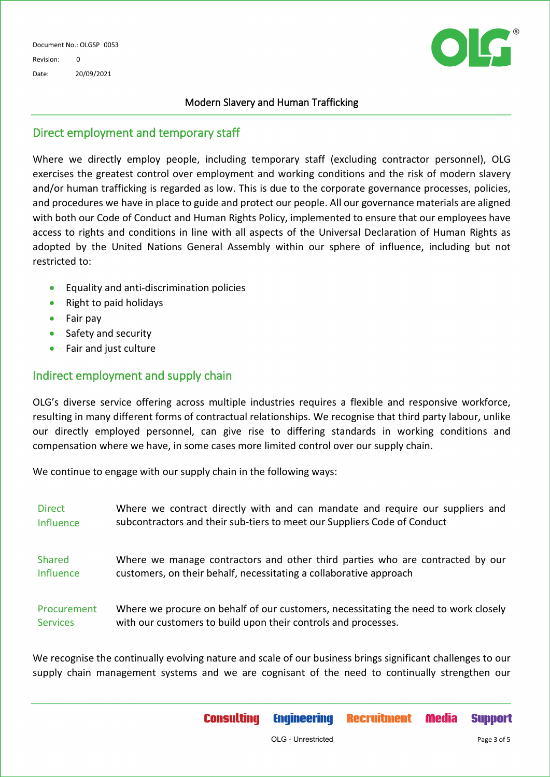

#### Modern Slavery and Human Trafficking

### Direct employment and temporary staff

Where we directly employ people, including temporary staff (excluding contractor personnel), OLG exercises the greatest control over employment and working conditions and the risk of modern slavery and/or human trafficking is regarded as low. This is due to the corporate governance processes, policies, and procedures we have in place to guide and protect our people. All our governance materials are aligned with both our Code of Conduct and Human Rights Policy, implemented to ensure that our employees have access to rights and conditions in line with all aspects of the Universal Declaration of Human Rights as adopted by the United Nations General Assembly within our sphere of influence, including but not restricted to:

- Equality and anti-discrimination policies
- Right to paid holidays
- Fair pay
- Safety and security
- Fair and just culture

### Indirect employment and supply chain

OLG's diverse service offering across multiple industries requires a flexible and responsive workforce, resulting in many different forms of contractual relationships. We recognise that third party labour, unlike our directly employed personnel, can give rise to differing standards in working conditions and compensation where we have, in some cases more limited control over our supply chain.

We continue to engage with our supply chain in the following ways:

| <b>Direct</b>   | Where we contract directly with and can mandate and require our suppliers and       |
|-----------------|-------------------------------------------------------------------------------------|
| Influence       | subcontractors and their sub-tiers to meet our Suppliers Code of Conduct            |
| Shared          | Where we manage contractors and other third parties who are contracted by our       |
| Influence       | customers, on their behalf, necessitating a collaborative approach                  |
| Procurement     | Where we procure on behalf of our customers, necessitating the need to work closely |
| <b>Services</b> | with our customers to build upon their controls and processes.                      |

We recognise the continually evolving nature and scale of our business brings significant challenges to our supply chain management systems and we are cognisant of the need to continually strengthen our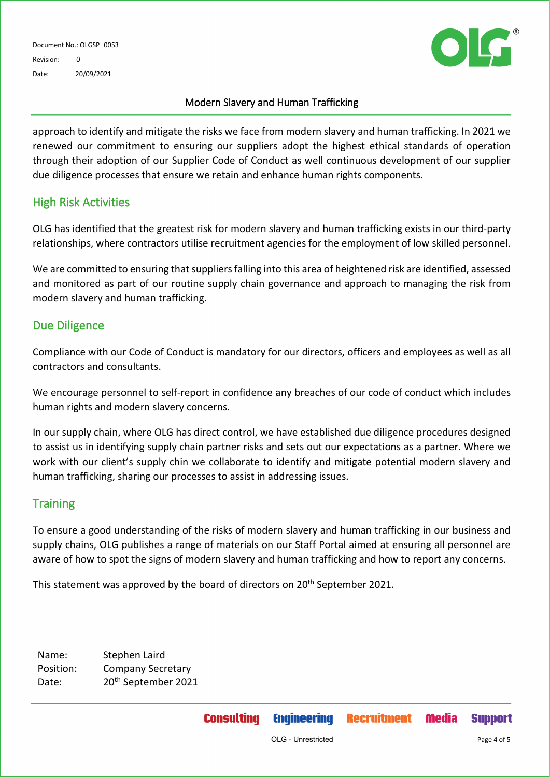Document No.: OLGSP 0053 Revision: 0 Date: 20/09/2021



#### Modern Slavery and Human Trafficking

approach to identify and mitigate the risks we face from modern slavery and human trafficking. In 2021 we renewed our commitment to ensuring our suppliers adopt the highest ethical standards of operation through their adoption of our Supplier Code of Conduct as well continuous development of our supplier due diligence processes that ensure we retain and enhance human rights components.

#### High Risk Activities

OLG has identified that the greatest risk for modern slavery and human trafficking exists in our third-party relationships, where contractors utilise recruitment agencies for the employment of low skilled personnel.

We are committed to ensuring that suppliers falling into this area of heightened risk are identified, assessed and monitored as part of our routine supply chain governance and approach to managing the risk from modern slavery and human trafficking.

### Due Diligence

Compliance with our Code of Conduct is mandatory for our directors, officers and employees as well as all contractors and consultants.

We encourage personnel to self-report in confidence any breaches of our code of conduct which includes human rights and modern slavery concerns.

In our supply chain, where OLG has direct control, we have established due diligence procedures designed to assist us in identifying supply chain partner risks and sets out our expectations as a partner. Where we work with our client's supply chin we collaborate to identify and mitigate potential modern slavery and human trafficking, sharing our processes to assist in addressing issues.

### **Training**

To ensure a good understanding of the risks of modern slavery and human trafficking in our business and supply chains, OLG publishes a range of materials on our Staff Portal aimed at ensuring all personnel are aware of how to spot the signs of modern slavery and human trafficking and how to report any concerns.

This statement was approved by the board of directors on 20<sup>th</sup> September 2021.

Name: Stephen Laird Position: Company Secretary Date: 20<sup>th</sup> September 2021

**Support**